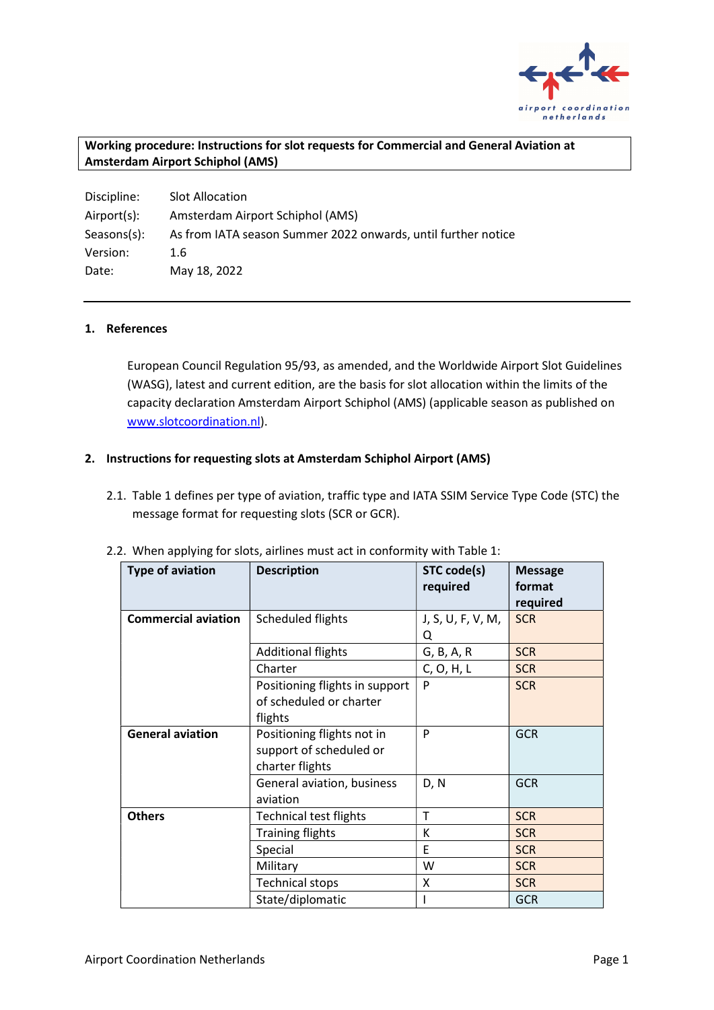

## Working procedure: Instructions for slot requests for Commercial and General Aviation at Amsterdam Airport Schiphol (AMS)

| Discipline: | <b>Slot Allocation</b>                                        |
|-------------|---------------------------------------------------------------|
| Airport(s): | Amsterdam Airport Schiphol (AMS)                              |
| Seasons(s): | As from IATA season Summer 2022 onwards, until further notice |
| Version:    | 1.6                                                           |
| Date:       | May 18, 2022                                                  |

#### 1. References

European Council Regulation 95/93, as amended, and the Worldwide Airport Slot Guidelines (WASG), latest and current edition, are the basis for slot allocation within the limits of the capacity declaration Amsterdam Airport Schiphol (AMS) (applicable season as published on www.slotcoordination.nl).

#### 2. Instructions for requesting slots at Amsterdam Schiphol Airport (AMS)

2.1. Table 1 defines per type of aviation, traffic type and IATA SSIM Service Type Code (STC) the message format for requesting slots (SCR or GCR).

| <b>Type of aviation</b>    | <b>Description</b>                                                       | STC code(s)<br>required | <b>Message</b><br>format<br>required |
|----------------------------|--------------------------------------------------------------------------|-------------------------|--------------------------------------|
| <b>Commercial aviation</b> | Scheduled flights                                                        | J, S, U, F, V, M,<br>Q  | <b>SCR</b>                           |
|                            | <b>Additional flights</b>                                                | G, B, A, R              | <b>SCR</b>                           |
|                            | Charter                                                                  | C, O, H, L              | <b>SCR</b>                           |
|                            | Positioning flights in support<br>of scheduled or charter<br>flights     | P                       | <b>SCR</b>                           |
| <b>General aviation</b>    | Positioning flights not in<br>support of scheduled or<br>charter flights | P                       | <b>GCR</b>                           |
|                            | General aviation, business<br>aviation                                   | D, N                    | <b>GCR</b>                           |
| <b>Others</b>              | <b>Technical test flights</b>                                            | T                       | <b>SCR</b>                           |
|                            | <b>Training flights</b>                                                  | K                       | <b>SCR</b>                           |
|                            | Special                                                                  | E                       | <b>SCR</b>                           |
|                            | Military                                                                 | W                       | <b>SCR</b>                           |
|                            | <b>Technical stops</b>                                                   | X                       | <b>SCR</b>                           |
|                            | State/diplomatic                                                         |                         | <b>GCR</b>                           |

2.2. When applying for slots, airlines must act in conformity with Table 1: